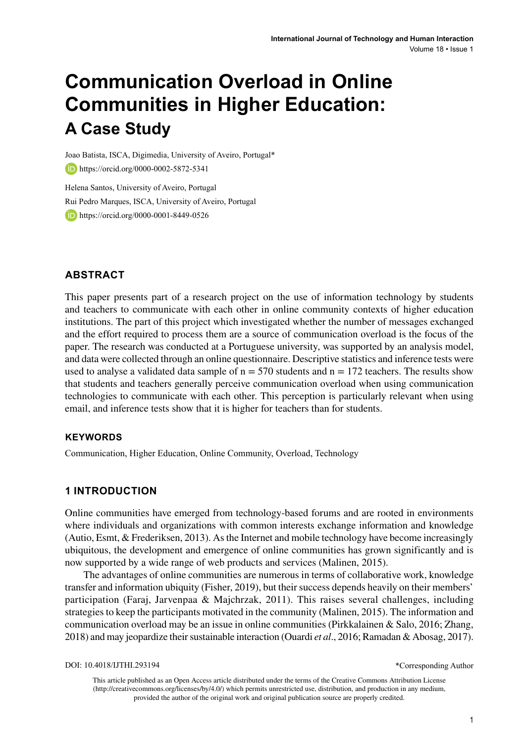# **Communication Overload in Online Communities in Higher Education: A Case Study**

Joao Batista, ISCA, Digimedia, University of Aveiro, Portugal\* https://orcid.org/0000-0002-5872-5341

Helena Santos, University of Aveiro, Portugal Rui Pedro Marques, ISCA, University of Aveiro, Portugal **b** https://orcid.org/0000-0001-8449-0526

# **ABSTRACT**

This paper presents part of a research project on the use of information technology by students and teachers to communicate with each other in online community contexts of higher education institutions. The part of this project which investigated whether the number of messages exchanged and the effort required to process them are a source of communication overload is the focus of the paper. The research was conducted at a Portuguese university, was supported by an analysis model, and data were collected through an online questionnaire. Descriptive statistics and inference tests were used to analyse a validated data sample of  $n = 570$  students and  $n = 172$  teachers. The results show that students and teachers generally perceive communication overload when using communication technologies to communicate with each other. This perception is particularly relevant when using email, and inference tests show that it is higher for teachers than for students.

#### **Keywords**

Communication, Higher Education, Online Community, Overload, Technology

# **1 INTRODUCTION**

Online communities have emerged from technology-based forums and are rooted in environments where individuals and organizations with common interests exchange information and knowledge (Autio, Esmt, & Frederiksen, 2013). As the Internet and mobile technology have become increasingly ubiquitous, the development and emergence of online communities has grown significantly and is now supported by a wide range of web products and services (Malinen, 2015).

The advantages of online communities are numerous in terms of collaborative work, knowledge transfer and information ubiquity (Fisher, 2019), but their success depends heavily on their members' participation (Faraj, Jarvenpaa & Majchrzak, 2011). This raises several challenges, including strategies to keep the participants motivated in the community (Malinen, 2015). The information and communication overload may be an issue in online communities (Pirkkalainen & Salo, 2016; Zhang, 2018) and may jeopardize their sustainable interaction (Ouardi *et al*., 2016; Ramadan & Abosag, 2017).

This article published as an Open Access article distributed under the terms of the Creative Commons Attribution License (http://creativecommons.org/licenses/by/4.0/) which permits unrestricted use, distribution, and production in any medium, provided the author of the original work and original publication source are properly credited.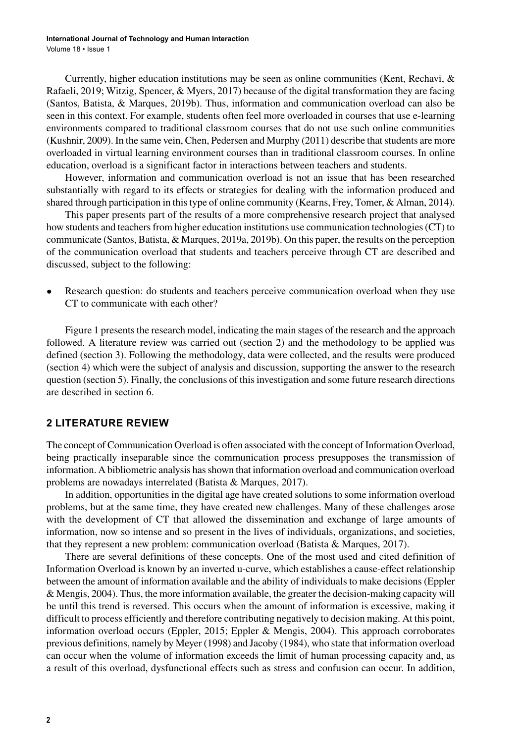Currently, higher education institutions may be seen as online communities (Kent, Rechavi, & Rafaeli, 2019; Witzig, Spencer, & Myers, 2017) because of the digital transformation they are facing (Santos, Batista, & Marques, 2019b). Thus, information and communication overload can also be seen in this context. For example, students often feel more overloaded in courses that use e-learning environments compared to traditional classroom courses that do not use such online communities (Kushnir, 2009). In the same vein, Chen, Pedersen and Murphy (2011) describe that students are more overloaded in virtual learning environment courses than in traditional classroom courses. In online education, overload is a significant factor in interactions between teachers and students.

However, information and communication overload is not an issue that has been researched substantially with regard to its effects or strategies for dealing with the information produced and shared through participation in this type of online community (Kearns, Frey, Tomer, & Alman, 2014).

This paper presents part of the results of a more comprehensive research project that analysed how students and teachers from higher education institutions use communication technologies (CT) to communicate (Santos, Batista, & Marques, 2019a, 2019b). On this paper, the results on the perception of the communication overload that students and teachers perceive through CT are described and discussed, subject to the following:

• Research question: do students and teachers perceive communication overload when they use CT to communicate with each other?

Figure 1 presents the research model, indicating the main stages of the research and the approach followed. A literature review was carried out (section 2) and the methodology to be applied was defined (section 3). Following the methodology, data were collected, and the results were produced (section 4) which were the subject of analysis and discussion, supporting the answer to the research question (section 5). Finally, the conclusions of this investigation and some future research directions are described in section 6.

#### **2 LITERATURE REVIEW**

The concept of Communication Overload is often associated with the concept of Information Overload, being practically inseparable since the communication process presupposes the transmission of information. A bibliometric analysis has shown that information overload and communication overload problems are nowadays interrelated (Batista & Marques, 2017).

In addition, opportunities in the digital age have created solutions to some information overload problems, but at the same time, they have created new challenges. Many of these challenges arose with the development of CT that allowed the dissemination and exchange of large amounts of information, now so intense and so present in the lives of individuals, organizations, and societies, that they represent a new problem: communication overload (Batista & Marques, 2017).

There are several definitions of these concepts. One of the most used and cited definition of Information Overload is known by an inverted u-curve, which establishes a cause-effect relationship between the amount of information available and the ability of individuals to make decisions (Eppler & Mengis, 2004). Thus, the more information available, the greater the decision-making capacity will be until this trend is reversed. This occurs when the amount of information is excessive, making it difficult to process efficiently and therefore contributing negatively to decision making. At this point, information overload occurs (Eppler, 2015; Eppler & Mengis, 2004). This approach corroborates previous definitions, namely by Meyer (1998) and Jacoby (1984), who state that information overload can occur when the volume of information exceeds the limit of human processing capacity and, as a result of this overload, dysfunctional effects such as stress and confusion can occur. In addition,